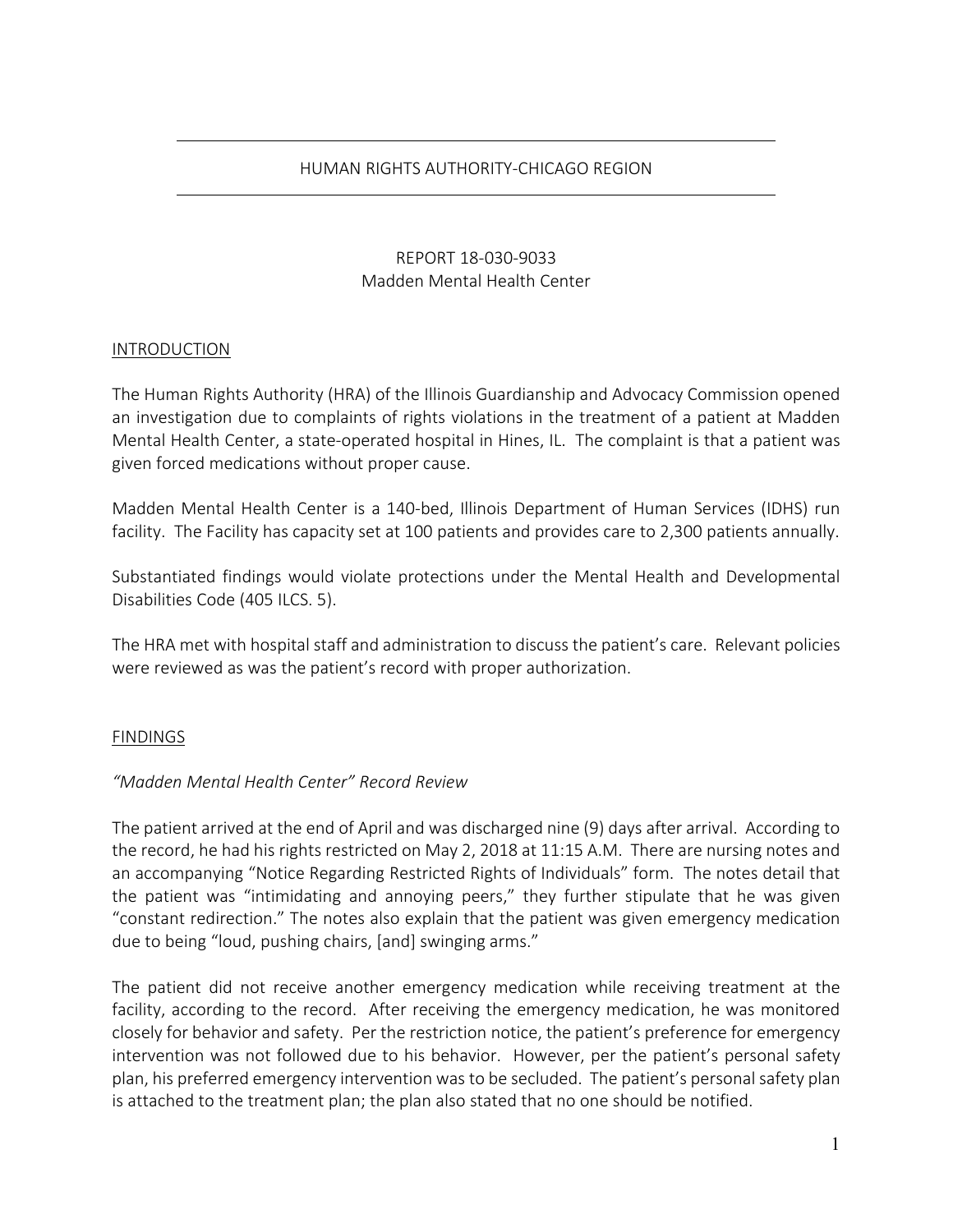# HUMAN RIGHTS AUTHORITY-CHICAGO REGION

# REPORT 18-030-9033 Madden Mental Health Center

## INTRODUCTION

The Human Rights Authority (HRA) of the Illinois Guardianship and Advocacy Commission opened an investigation due to complaints of rights violations in the treatment of a patient at Madden Mental Health Center, a state-operated hospital in Hines, IL. The complaint is that a patient was given forced medications without proper cause.

Madden Mental Health Center is a 140-bed, Illinois Department of Human Services (IDHS) run facility. The Facility has capacity set at 100 patients and provides care to 2,300 patients annually.

Substantiated findings would violate protections under the Mental Health and Developmental Disabilities Code (405 ILCS. 5).

The HRA met with hospital staff and administration to discuss the patient's care. Relevant policies were reviewed as was the patient's record with proper authorization.

## FINDINGS

## *"Madden Mental Health Center" Record Review*

The patient arrived at the end of April and was discharged nine (9) days after arrival. According to the record, he had his rights restricted on May 2, 2018 at 11:15 A.M. There are nursing notes and an accompanying "Notice Regarding Restricted Rights of Individuals" form. The notes detail that the patient was "intimidating and annoying peers," they further stipulate that he was given "constant redirection." The notes also explain that the patient was given emergency medication due to being "loud, pushing chairs, [and] swinging arms."

The patient did not receive another emergency medication while receiving treatment at the facility, according to the record. After receiving the emergency medication, he was monitored closely for behavior and safety. Per the restriction notice, the patient's preference for emergency intervention was not followed due to his behavior. However, per the patient's personal safety plan, his preferred emergency intervention was to be secluded. The patient's personal safety plan is attached to the treatment plan; the plan also stated that no one should be notified.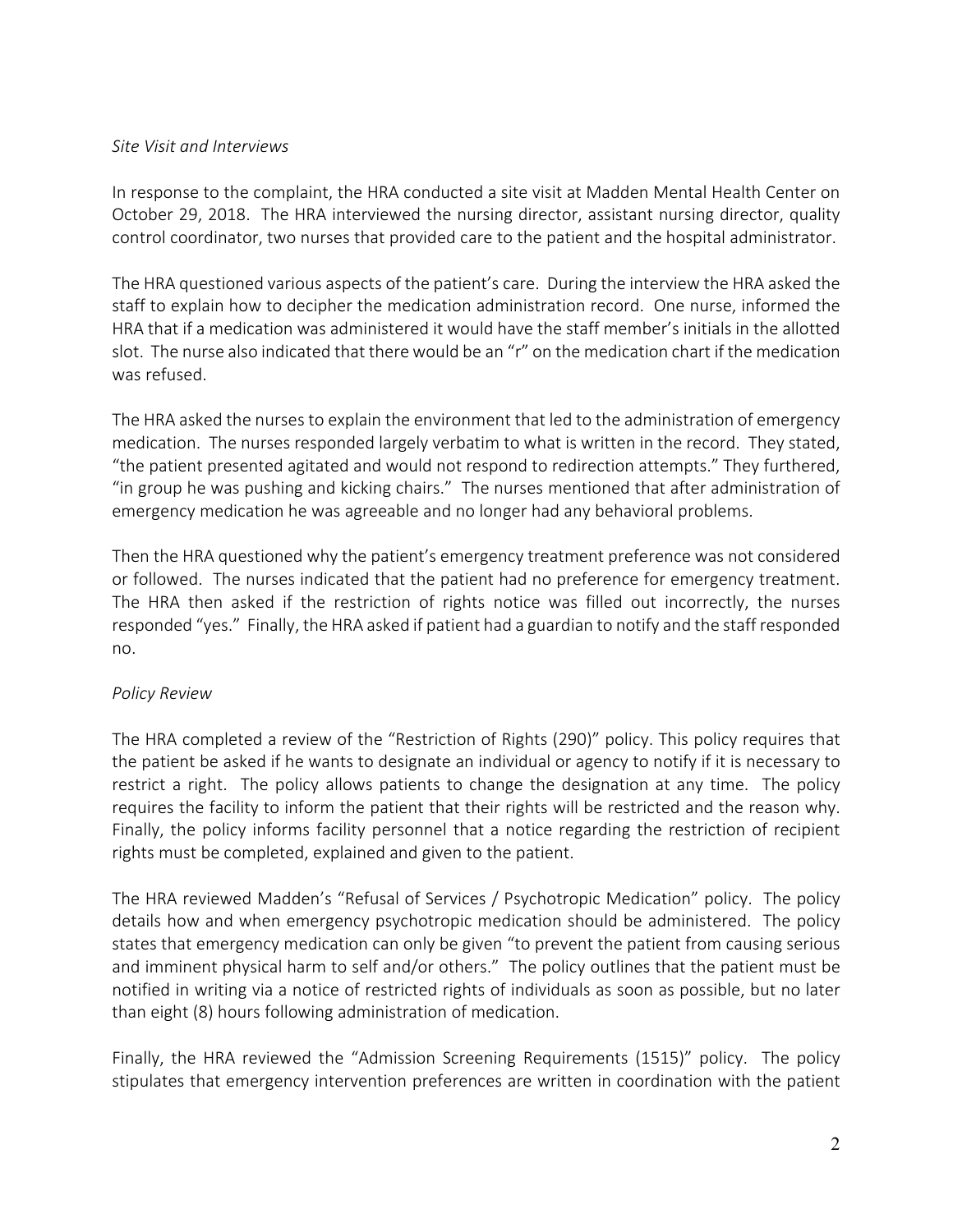# *Site Visit and Interviews*

In response to the complaint, the HRA conducted a site visit at Madden Mental Health Center on October 29, 2018. The HRA interviewed the nursing director, assistant nursing director, quality control coordinator, two nurses that provided care to the patient and the hospital administrator.

The HRA questioned various aspects of the patient's care. During the interview the HRA asked the staff to explain how to decipher the medication administration record. One nurse, informed the HRA that if a medication was administered it would have the staff member's initials in the allotted slot. The nurse also indicated that there would be an "r" on the medication chart if the medication was refused.

The HRA asked the nurses to explain the environment that led to the administration of emergency medication. The nurses responded largely verbatim to what is written in the record. They stated, "the patient presented agitated and would not respond to redirection attempts." They furthered, "in group he was pushing and kicking chairs." The nurses mentioned that after administration of emergency medication he was agreeable and no longer had any behavioral problems.

Then the HRA questioned why the patient's emergency treatment preference was not considered or followed. The nurses indicated that the patient had no preference for emergency treatment. The HRA then asked if the restriction of rights notice was filled out incorrectly, the nurses responded "yes." Finally, the HRA asked if patient had a guardian to notify and the staff responded no.

# *Policy Review*

The HRA completed a review of the "Restriction of Rights (290)" policy. This policy requires that the patient be asked if he wants to designate an individual or agency to notify if it is necessary to restrict a right. The policy allows patients to change the designation at any time. The policy requires the facility to inform the patient that their rights will be restricted and the reason why. Finally, the policy informs facility personnel that a notice regarding the restriction of recipient rights must be completed, explained and given to the patient.

The HRA reviewed Madden's "Refusal of Services / Psychotropic Medication" policy. The policy details how and when emergency psychotropic medication should be administered. The policy states that emergency medication can only be given "to prevent the patient from causing serious and imminent physical harm to self and/or others." The policy outlines that the patient must be notified in writing via a notice of restricted rights of individuals as soon as possible, but no later than eight (8) hours following administration of medication.

Finally, the HRA reviewed the "Admission Screening Requirements (1515)" policy. The policy stipulates that emergency intervention preferences are written in coordination with the patient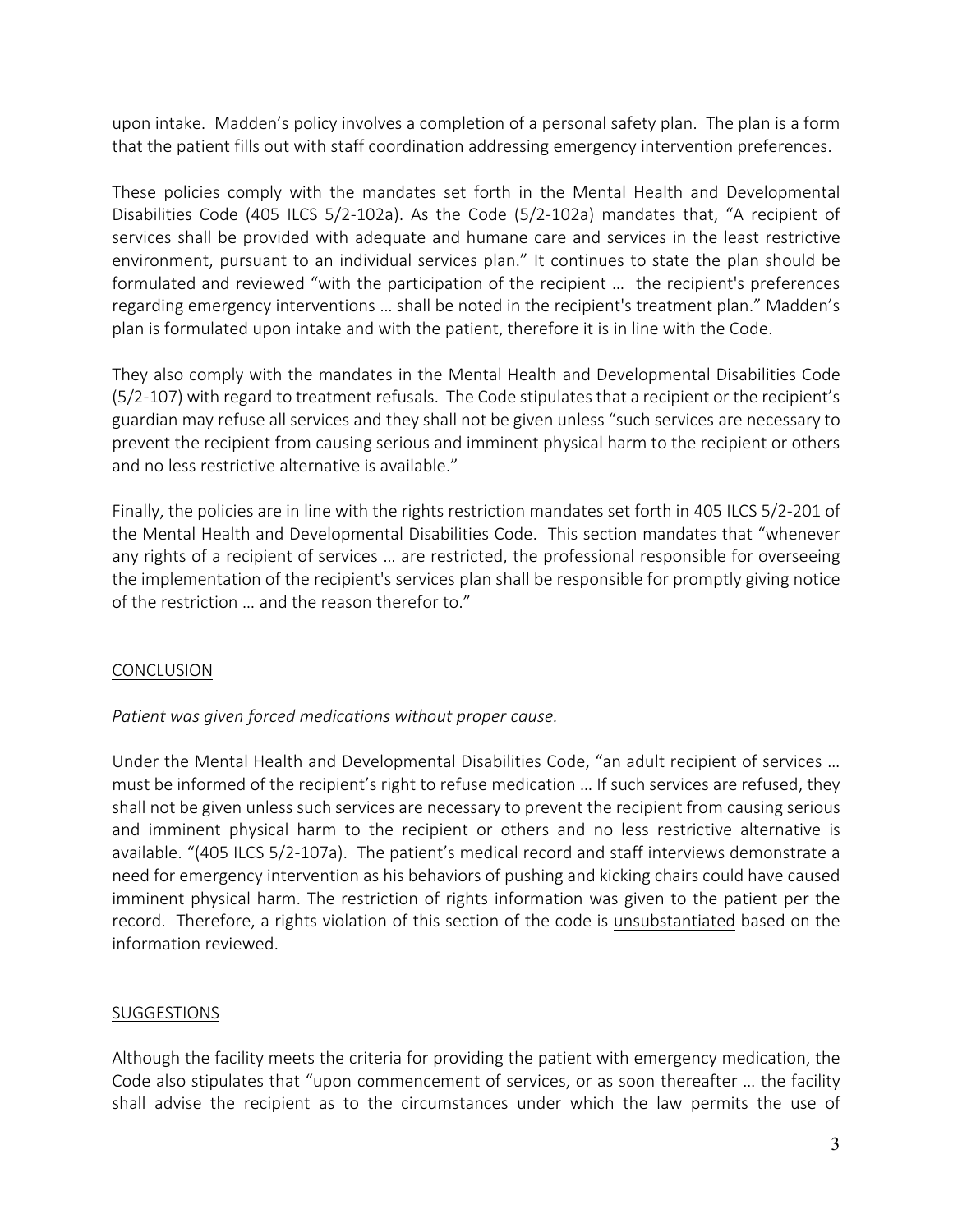upon intake. Madden's policy involves a completion of a personal safety plan. The plan is a form that the patient fills out with staff coordination addressing emergency intervention preferences.

These policies comply with the mandates set forth in the Mental Health and Developmental Disabilities Code (405 ILCS 5/2-102a). As the Code (5/2-102a) mandates that, "A recipient of services shall be provided with adequate and humane care and services in the least restrictive environment, pursuant to an individual services plan." It continues to state the plan should be formulated and reviewed "with the participation of the recipient ... the recipient's preferences regarding emergency interventions … shall be noted in the recipient's treatment plan." Madden's plan is formulated upon intake and with the patient, therefore it is in line with the Code.

They also comply with the mandates in the Mental Health and Developmental Disabilities Code (5/2-107) with regard to treatment refusals. The Code stipulates that a recipient or the recipient's guardian may refuse all services and they shall not be given unless "such services are necessary to prevent the recipient from causing serious and imminent physical harm to the recipient or others and no less restrictive alternative is available."

Finally, the policies are in line with the rights restriction mandates set forth in 405 ILCS 5/2-201 of the Mental Health and Developmental Disabilities Code. This section mandates that "whenever any rights of a recipient of services … are restricted, the professional responsible for overseeing the implementation of the recipient's services plan shall be responsible for promptly giving notice of the restriction … and the reason therefor to."

## **CONCLUSION**

## *Patient was given forced medications without proper cause.*

Under the Mental Health and Developmental Disabilities Code, "an adult recipient of services … must be informed of the recipient's right to refuse medication … If such services are refused, they shall not be given unless such services are necessary to prevent the recipient from causing serious and imminent physical harm to the recipient or others and no less restrictive alternative is available. "(405 ILCS 5/2-107a). The patient's medical record and staff interviews demonstrate a need for emergency intervention as his behaviors of pushing and kicking chairs could have caused imminent physical harm. The restriction of rights information was given to the patient per the record. Therefore, a rights violation of this section of the code is **unsubstantiated** based on the information reviewed.

# SUGGESTIONS

Although the facility meets the criteria for providing the patient with emergency medication, the Code also stipulates that "upon commencement of services, or as soon thereafter … the facility shall advise the recipient as to the circumstances under which the law permits the use of